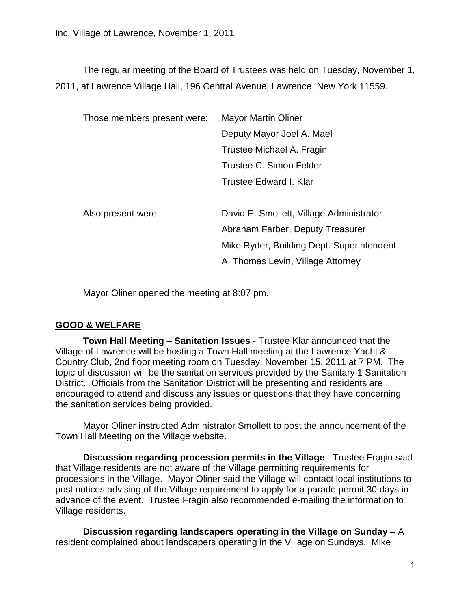The regular meeting of the Board of Trustees was held on Tuesday, November 1, 2011, at Lawrence Village Hall, 196 Central Avenue, Lawrence, New York 11559.

| Those members present were: | <b>Mayor Martin Oliner</b>                |  |
|-----------------------------|-------------------------------------------|--|
|                             | Deputy Mayor Joel A. Mael                 |  |
|                             | Trustee Michael A. Fragin                 |  |
|                             | Trustee C. Simon Felder                   |  |
|                             | Trustee Edward I. Klar                    |  |
|                             |                                           |  |
| Also present were:          | David E. Smollett, Village Administrator  |  |
|                             | Abraham Farber, Deputy Treasurer          |  |
|                             | Mike Ryder, Building Dept. Superintendent |  |
|                             | A. Thomas Levin, Village Attorney         |  |

Mayor Oliner opened the meeting at 8:07 pm.

# **GOOD & WELFARE**

**Town Hall Meeting – Sanitation Issues** - Trustee Klar announced that the Village of Lawrence will be hosting a Town Hall meeting at the Lawrence Yacht & Country Club, 2nd floor meeting room on Tuesday, November 15, 2011 at 7 PM. The topic of discussion will be the sanitation services provided by the Sanitary 1 Sanitation District. Officials from the Sanitation District will be presenting and residents are encouraged to attend and discuss any issues or questions that they have concerning the sanitation services being provided.

Mayor Oliner instructed Administrator Smollett to post the announcement of the Town Hall Meeting on the Village website.

**Discussion regarding procession permits in the Village** - Trustee Fragin said that Village residents are not aware of the Village permitting requirements for processions in the Village. Mayor Oliner said the Village will contact local institutions to post notices advising of the Village requirement to apply for a parade permit 30 days in advance of the event. Trustee Fragin also recommended e-mailing the information to Village residents.

**Discussion regarding landscapers operating in the Village on Sunday –** A resident complained about landscapers operating in the Village on Sundays. Mike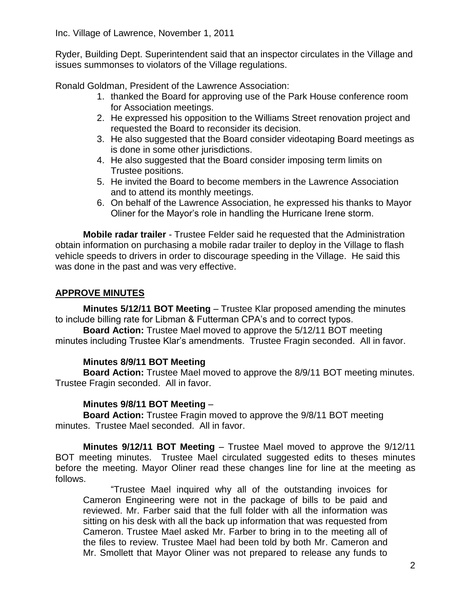Ryder, Building Dept. Superintendent said that an inspector circulates in the Village and issues summonses to violators of the Village regulations.

Ronald Goldman, President of the Lawrence Association:

- 1. thanked the Board for approving use of the Park House conference room for Association meetings.
- 2. He expressed his opposition to the Williams Street renovation project and requested the Board to reconsider its decision.
- 3. He also suggested that the Board consider videotaping Board meetings as is done in some other jurisdictions.
- 4. He also suggested that the Board consider imposing term limits on Trustee positions.
- 5. He invited the Board to become members in the Lawrence Association and to attend its monthly meetings.
- 6. On behalf of the Lawrence Association, he expressed his thanks to Mayor Oliner for the Mayor's role in handling the Hurricane Irene storm.

**Mobile radar trailer** - Trustee Felder said he requested that the Administration obtain information on purchasing a mobile radar trailer to deploy in the Village to flash vehicle speeds to drivers in order to discourage speeding in the Village. He said this was done in the past and was very effective.

# **APPROVE MINUTES**

**Minutes 5/12/11 BOT Meeting** – Trustee Klar proposed amending the minutes to include billing rate for Libman & Futterman CPA's and to correct typos.

**Board Action:** Trustee Mael moved to approve the 5/12/11 BOT meeting minutes including Trustee Klar's amendments. Trustee Fragin seconded. All in favor.

# **Minutes 8/9/11 BOT Meeting**

**Board Action:** Trustee Mael moved to approve the 8/9/11 BOT meeting minutes. Trustee Fragin seconded. All in favor.

# **Minutes 9/8/11 BOT Meeting** –

**Board Action:** Trustee Fragin moved to approve the 9/8/11 BOT meeting minutes. Trustee Mael seconded. All in favor.

**Minutes 9/12/11 BOT Meeting** – Trustee Mael moved to approve the 9/12/11 BOT meeting minutes. Trustee Mael circulated suggested edits to theses minutes before the meeting. Mayor Oliner read these changes line for line at the meeting as follows.

"Trustee Mael inquired why all of the outstanding invoices for Cameron Engineering were not in the package of bills to be paid and reviewed. Mr. Farber said that the full folder with all the information was sitting on his desk with all the back up information that was requested from Cameron. Trustee Mael asked Mr. Farber to bring in to the meeting all of the files to review. Trustee Mael had been told by both Mr. Cameron and Mr. Smollett that Mayor Oliner was not prepared to release any funds to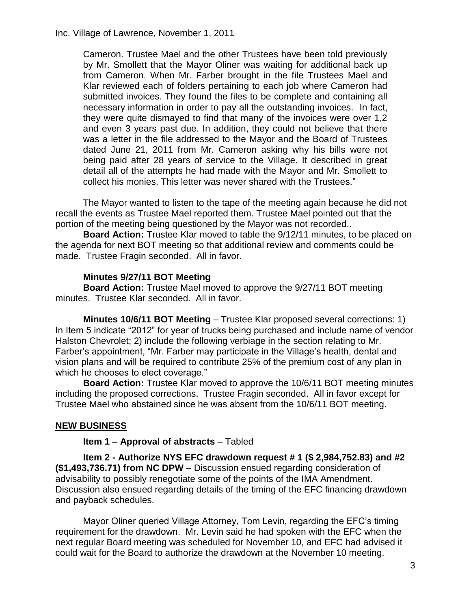Cameron. Trustee Mael and the other Trustees have been told previously by Mr. Smollett that the Mayor Oliner was waiting for additional back up from Cameron. When Mr. Farber brought in the file Trustees Mael and Klar reviewed each of folders pertaining to each job where Cameron had submitted invoices. They found the files to be complete and containing all necessary information in order to pay all the outstanding invoices. In fact, they were quite dismayed to find that many of the invoices were over 1,2 and even 3 years past due. In addition, they could not believe that there was a letter in the file addressed to the Mayor and the Board of Trustees dated June 21, 2011 from Mr. Cameron asking why his bills were not being paid after 28 years of service to the Village. It described in great detail all of the attempts he had made with the Mayor and Mr. Smollett to collect his monies. This letter was never shared with the Trustees."

The Mayor wanted to listen to the tape of the meeting again because he did not recall the events as Trustee Mael reported them. Trustee Mael pointed out that the portion of the meeting being questioned by the Mayor was not recorded..

**Board Action:** Trustee Klar moved to table the 9/12/11 minutes, to be placed on the agenda for next BOT meeting so that additional review and comments could be made. Trustee Fragin seconded. All in favor.

### **Minutes 9/27/11 BOT Meeting**

**Board Action:** Trustee Mael moved to approve the 9/27/11 BOT meeting minutes. Trustee Klar seconded. All in favor.

**Minutes 10/6/11 BOT Meeting** – Trustee Klar proposed several corrections: 1) In Item 5 indicate "2012" for year of trucks being purchased and include name of vendor Halston Chevrolet; 2) include the following verbiage in the section relating to Mr. Farber's appointment, "Mr. Farber may participate in the Village's health, dental and vision plans and will be required to contribute 25% of the premium cost of any plan in which he chooses to elect coverage."

**Board Action:** Trustee Klar moved to approve the 10/6/11 BOT meeting minutes including the proposed corrections. Trustee Fragin seconded. All in favor except for Trustee Mael who abstained since he was absent from the 10/6/11 BOT meeting.

# **NEW BUSINESS**

**Item 1 – Approval of abstracts** – Tabled

**Item 2 - Authorize NYS EFC drawdown request # 1 (\$ 2,984,752.83) and #2 (\$1,493,736.71) from NC DPW** – Discussion ensued regarding consideration of advisability to possibly renegotiate some of the points of the IMA Amendment. Discussion also ensued regarding details of the timing of the EFC financing drawdown and payback schedules.

Mayor Oliner queried Village Attorney, Tom Levin, regarding the EFC's timing requirement for the drawdown. Mr. Levin said he had spoken with the EFC when the next regular Board meeting was scheduled for November 10, and EFC had advised it could wait for the Board to authorize the drawdown at the November 10 meeting.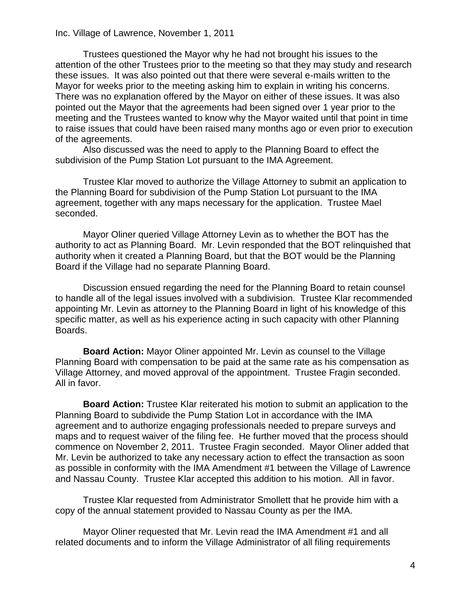Trustees questioned the Mayor why he had not brought his issues to the attention of the other Trustees prior to the meeting so that they may study and research these issues. It was also pointed out that there were several e-mails written to the Mayor for weeks prior to the meeting asking him to explain in writing his concerns. There was no explanation offered by the Mayor on either of these issues. It was also pointed out the Mayor that the agreements had been signed over 1 year prior to the meeting and the Trustees wanted to know why the Mayor waited until that point in time to raise issues that could have been raised many months ago or even prior to execution of the agreements.

Also discussed was the need to apply to the Planning Board to effect the subdivision of the Pump Station Lot pursuant to the IMA Agreement.

Trustee Klar moved to authorize the Village Attorney to submit an application to the Planning Board for subdivision of the Pump Station Lot pursuant to the IMA agreement, together with any maps necessary for the application. Trustee Mael seconded.

Mayor Oliner queried Village Attorney Levin as to whether the BOT has the authority to act as Planning Board. Mr. Levin responded that the BOT relinquished that authority when it created a Planning Board, but that the BOT would be the Planning Board if the Village had no separate Planning Board.

Discussion ensued regarding the need for the Planning Board to retain counsel to handle all of the legal issues involved with a subdivision. Trustee Klar recommended appointing Mr. Levin as attorney to the Planning Board in light of his knowledge of this specific matter, as well as his experience acting in such capacity with other Planning Boards.

**Board Action:** Mayor Oliner appointed Mr. Levin as counsel to the Village Planning Board with compensation to be paid at the same rate as his compensation as Village Attorney, and moved approval of the appointment. Trustee Fragin seconded. All in favor.

**Board Action:** Trustee Klar reiterated his motion to submit an application to the Planning Board to subdivide the Pump Station Lot in accordance with the IMA agreement and to authorize engaging professionals needed to prepare surveys and maps and to request waiver of the filing fee. He further moved that the process should commence on November 2, 2011. Trustee Fragin seconded. Mayor Oliner added that Mr. Levin be authorized to take any necessary action to effect the transaction as soon as possible in conformity with the IMA Amendment #1 between the Village of Lawrence and Nassau County. Trustee Klar accepted this addition to his motion. All in favor.

Trustee Klar requested from Administrator Smollett that he provide him with a copy of the annual statement provided to Nassau County as per the IMA.

Mayor Oliner requested that Mr. Levin read the IMA Amendment #1 and all related documents and to inform the Village Administrator of all filing requirements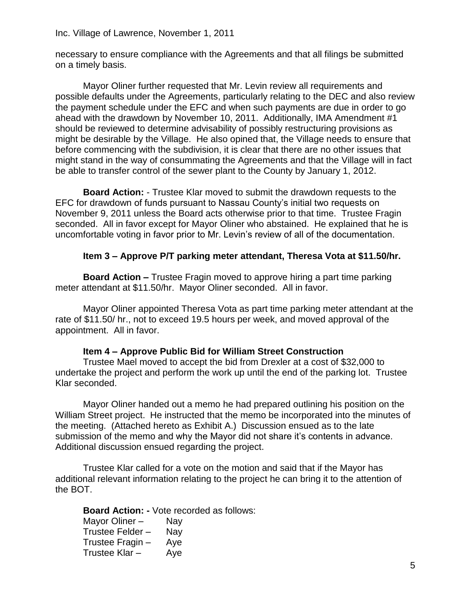necessary to ensure compliance with the Agreements and that all filings be submitted on a timely basis.

Mayor Oliner further requested that Mr. Levin review all requirements and possible defaults under the Agreements, particularly relating to the DEC and also review the payment schedule under the EFC and when such payments are due in order to go ahead with the drawdown by November 10, 2011. Additionally, IMA Amendment #1 should be reviewed to determine advisability of possibly restructuring provisions as might be desirable by the Village. He also opined that, the Village needs to ensure that before commencing with the subdivision, it is clear that there are no other issues that might stand in the way of consummating the Agreements and that the Village will in fact be able to transfer control of the sewer plant to the County by January 1, 2012.

**Board Action:** - Trustee Klar moved to submit the drawdown requests to the EFC for drawdown of funds pursuant to Nassau County's initial two requests on November 9, 2011 unless the Board acts otherwise prior to that time. Trustee Fragin seconded. All in favor except for Mayor Oliner who abstained. He explained that he is uncomfortable voting in favor prior to Mr. Levin's review of all of the documentation.

### **Item 3 – Approve P/T parking meter attendant, Theresa Vota at \$11.50/hr.**

**Board Action –** Trustee Fragin moved to approve hiring a part time parking meter attendant at \$11.50/hr. Mayor Oliner seconded. All in favor.

Mayor Oliner appointed Theresa Vota as part time parking meter attendant at the rate of \$11.50/ hr., not to exceed 19.5 hours per week, and moved approval of the appointment. All in favor.

### **Item 4 – Approve Public Bid for William Street Construction**

Trustee Mael moved to accept the bid from Drexler at a cost of \$32,000 to undertake the project and perform the work up until the end of the parking lot. Trustee Klar seconded.

Mayor Oliner handed out a memo he had prepared outlining his position on the William Street project. He instructed that the memo be incorporated into the minutes of the meeting. (Attached hereto as Exhibit A.) Discussion ensued as to the late submission of the memo and why the Mayor did not share it's contents in advance. Additional discussion ensued regarding the project.

Trustee Klar called for a vote on the motion and said that if the Mayor has additional relevant information relating to the project he can bring it to the attention of the BOT.

**Board Action: -** Vote recorded as follows:

| Mayor Oliner –   | Nay |
|------------------|-----|
| Trustee Felder – | Nay |
| Trustee Fragin – | Aye |
| Trustee Klar –   | Aye |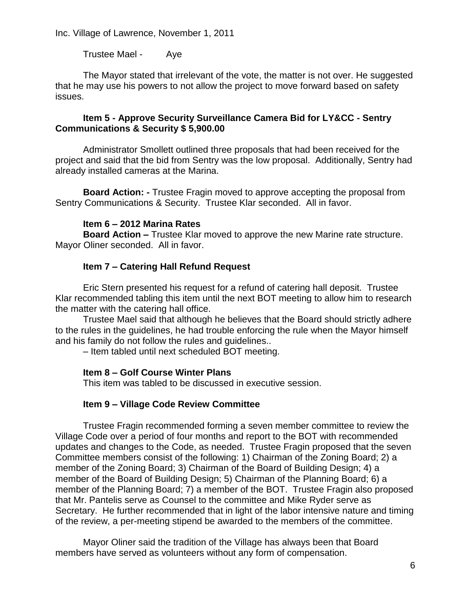Trustee Mael - Aye

The Mayor stated that irrelevant of the vote, the matter is not over. He suggested that he may use his powers to not allow the project to move forward based on safety issues.

### **Item 5 - Approve Security Surveillance Camera Bid for LY&CC - Sentry Communications & Security \$ 5,900.00**

Administrator Smollett outlined three proposals that had been received for the project and said that the bid from Sentry was the low proposal. Additionally, Sentry had already installed cameras at the Marina.

**Board Action: -** Trustee Fragin moved to approve accepting the proposal from Sentry Communications & Security. Trustee Klar seconded. All in favor.

### **Item 6 – 2012 Marina Rates**

**Board Action –** Trustee Klar moved to approve the new Marine rate structure. Mayor Oliner seconded. All in favor.

# **Item 7 – Catering Hall Refund Request**

Eric Stern presented his request for a refund of catering hall deposit. Trustee Klar recommended tabling this item until the next BOT meeting to allow him to research the matter with the catering hall office.

Trustee Mael said that although he believes that the Board should strictly adhere to the rules in the guidelines, he had trouble enforcing the rule when the Mayor himself and his family do not follow the rules and guidelines..

– Item tabled until next scheduled BOT meeting.

# **Item 8 – Golf Course Winter Plans**

This item was tabled to be discussed in executive session.

# **Item 9 – Village Code Review Committee**

Trustee Fragin recommended forming a seven member committee to review the Village Code over a period of four months and report to the BOT with recommended updates and changes to the Code, as needed. Trustee Fragin proposed that the seven Committee members consist of the following: 1) Chairman of the Zoning Board; 2) a member of the Zoning Board; 3) Chairman of the Board of Building Design; 4) a member of the Board of Building Design; 5) Chairman of the Planning Board; 6) a member of the Planning Board; 7) a member of the BOT. Trustee Fragin also proposed that Mr. Pantelis serve as Counsel to the committee and Mike Ryder serve as Secretary. He further recommended that in light of the labor intensive nature and timing of the review, a per-meeting stipend be awarded to the members of the committee.

Mayor Oliner said the tradition of the Village has always been that Board members have served as volunteers without any form of compensation.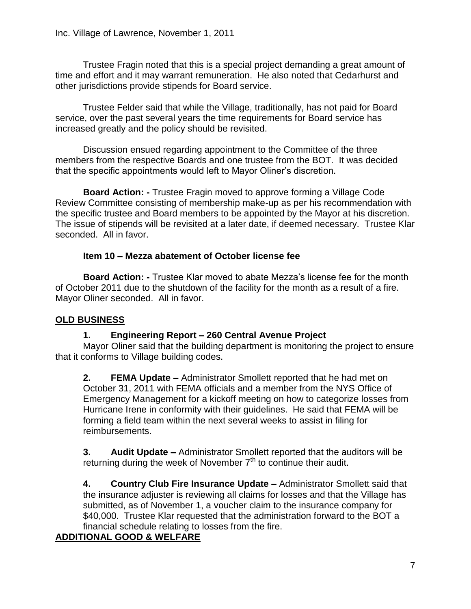Trustee Fragin noted that this is a special project demanding a great amount of time and effort and it may warrant remuneration. He also noted that Cedarhurst and other jurisdictions provide stipends for Board service.

Trustee Felder said that while the Village, traditionally, has not paid for Board service, over the past several years the time requirements for Board service has increased greatly and the policy should be revisited.

Discussion ensued regarding appointment to the Committee of the three members from the respective Boards and one trustee from the BOT. It was decided that the specific appointments would left to Mayor Oliner's discretion.

**Board Action: -** Trustee Fragin moved to approve forming a Village Code Review Committee consisting of membership make-up as per his recommendation with the specific trustee and Board members to be appointed by the Mayor at his discretion. The issue of stipends will be revisited at a later date, if deemed necessary. Trustee Klar seconded. All in favor.

# **Item 10 – Mezza abatement of October license fee**

**Board Action: -** Trustee Klar moved to abate Mezza's license fee for the month of October 2011 due to the shutdown of the facility for the month as a result of a fire. Mayor Oliner seconded. All in favor.

# **OLD BUSINESS**

# **1. Engineering Report – 260 Central Avenue Project**

Mayor Oliner said that the building department is monitoring the project to ensure that it conforms to Village building codes.

**2. FEMA Update –** Administrator Smollett reported that he had met on October 31, 2011 with FEMA officials and a member from the NYS Office of Emergency Management for a kickoff meeting on how to categorize losses from Hurricane Irene in conformity with their guidelines. He said that FEMA will be forming a field team within the next several weeks to assist in filing for reimbursements.

**3. Audit Update –** Administrator Smollett reported that the auditors will be returning during the week of November  $7<sup>th</sup>$  to continue their audit.

**4. Country Club Fire Insurance Update –** Administrator Smollett said that the insurance adjuster is reviewing all claims for losses and that the Village has submitted, as of November 1, a voucher claim to the insurance company for \$40,000. Trustee Klar requested that the administration forward to the BOT a financial schedule relating to losses from the fire.

# **ADDITIONAL GOOD & WELFARE**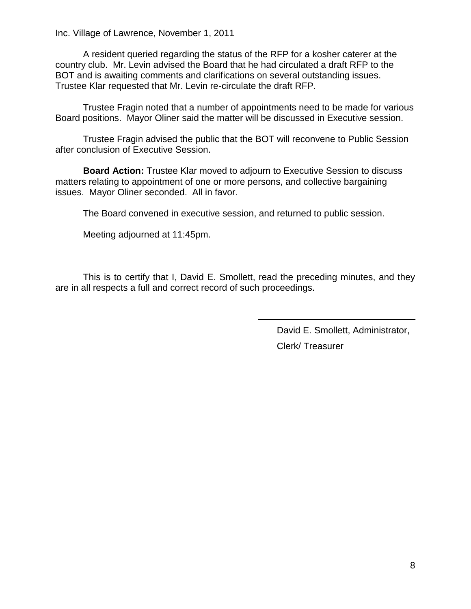A resident queried regarding the status of the RFP for a kosher caterer at the country club. Mr. Levin advised the Board that he had circulated a draft RFP to the BOT and is awaiting comments and clarifications on several outstanding issues. Trustee Klar requested that Mr. Levin re-circulate the draft RFP.

Trustee Fragin noted that a number of appointments need to be made for various Board positions. Mayor Oliner said the matter will be discussed in Executive session.

Trustee Fragin advised the public that the BOT will reconvene to Public Session after conclusion of Executive Session.

**Board Action:** Trustee Klar moved to adjourn to Executive Session to discuss matters relating to appointment of one or more persons, and collective bargaining issues. Mayor Oliner seconded. All in favor.

The Board convened in executive session, and returned to public session.

Meeting adjourned at 11:45pm.

This is to certify that I, David E. Smollett, read the preceding minutes, and they are in all respects a full and correct record of such proceedings.

> David E. Smollett, Administrator, Clerk/ Treasurer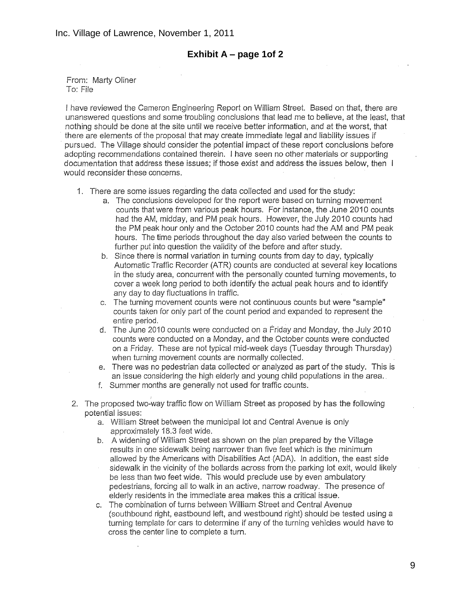#### **Exhibit A – page 1of 2**

From: Marty Oliner To: File

I have reviewed the Cameron Engineering Report on William Street. Based on that, there are unanswered questions and some troubling conclusions that lead me to believe, at the least, that nothing should be done at the site until we receive better information, and at the worst, that there are elements of the proposal that may create immediate legal and liability issues if pursued. The Village should consider the potential impact of these report conclusions before adopting recommendations contained therein. I have seen no other materials or supporting documentation that address these issues; if those exist and address the issues below, then I would reconsider these concerns.

- 1. There are some issues regarding the data collected and used for the study:
	- a. The conclusions developed for the report were based on turning movement counts that were from various peak hours. For instance, the June 2010 counts had the AM, midday, and PM peak hours. However, the July 2010 counts had the PM peak hour only and the October 2010 counts had the AM and PM peak hours. The time periods throughout the day also varied between the counts to further put into question the validity of the before and after study.
	- b. Since there is normal variation in turning counts from day to day, typically Automatic Traffic Recorder (ATR) counts are conducted at several key locations in the study area, concurrent with the personally counted turning movements, to cover a week long period to both identify the actual peak hours and to identify any day to day fluctuations in traffic.
	- c. The turning movement counts were not continuous counts but were "sample" counts taken for only part of the count period and expanded to represent the entire period.
	- d. The June 2010 counts were conducted on a Friday and Monday, the July 2010 counts were conducted on a Monday, and the October counts were conducted on a Friday. These are not typical mid-week days (Tuesday through Thursday) when turning movement counts are normally collected.
	- e. There was no pedestrian data collected or analyzed as part of the study. This is an issue considering the high elderly and young child populations in the area.
	- f. Summer months are generally not used for traffic counts.
- 2. The proposed two-way traffic flow on William Street as proposed by has the following potential issues:
	- a. William Street between the municipal lot and Central Avenue is only approximately 18.3 feet wide.
	- b. A widening of William Street as shown on the plan prepared by the Village results in one sidewalk being narrower than five feet which is the minimum allowed by the Americans with Disabilities Act (ADA). In addition, the east side sidewalk in the vicinity of the bollards across from the parking lot exit, would likely be less than two feet wide. This would preclude use by even ambulatory pedestrians, forcing all to walk in an active, narrow roadway. The presence of elderly residents in the immediate area makes this a critical issue.
	- c. The combination of turns between William Street and Central Avenue (southbound right, eastbound left, and westbound right) should be tested using a turning template for cars to determine if any of the turning vehicles would have to cross the center line to complete a turn.